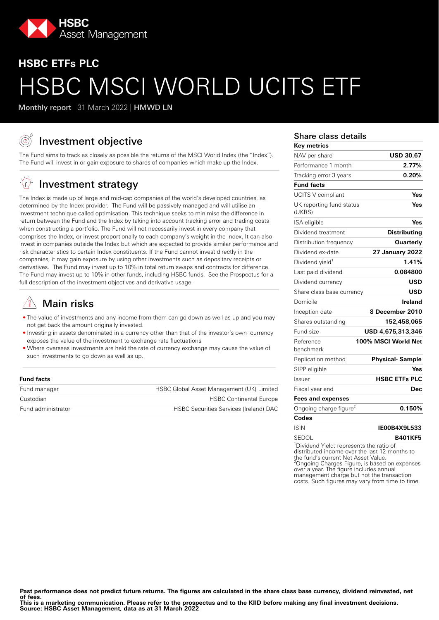

# **HSBC ETFs PLC** HSBC MSCI WORLD UCITS ETF

Monthly report 31 March 2022 | HMWD LN

## Investment objective

The Fund aims to track as closely as possible the returns of the MSCI World Index (the "Index"). The Fund will invest in or gain exposure to shares of companies which make up the Index.

#### √n, Investment strategy

The Index is made up of large and mid-cap companies of the world's developed countries, as determined by the Index provider. The Fund will be passively managed and will utilise an investment technique called optimisation. This technique seeks to minimise the difference in return between the Fund and the Index by taking into account tracking error and trading costs when constructing a portfolio. The Fund will not necessarily invest in every company that comprises the Index, or invest proportionally to each company's weight in the Index. It can also invest in companies outside the Index but which are expected to provide similar performance and risk characteristics to certain Index constituents. If the Fund cannot invest directly in the companies, it may gain exposure by using other investments such as depositary receipts or derivatives. The Fund may invest up to 10% in total return swaps and contracts for difference. The Fund may invest up to 10% in other funds, including HSBC funds. See the Prospectus for a full description of the investment objectives and derivative usage.

## Main risks

- The value of investments and any income from them can go down as well as up and you may not get back the amount originally invested.
- Investing in assets denominated in a currency other than that of the investor's own currency exposes the value of the investment to exchange rate fluctuations
- Where overseas investments are held the rate of currency exchange may cause the value of such investments to go down as well as up.

#### **Fund facts**

| Fund manager       | HSBC Global Asset Management (UK) Limited     |
|--------------------|-----------------------------------------------|
| Custodian          | <b>HSBC Continental Europe</b>                |
| Fund administrator | <b>HSBC Securities Services (Ireland) DAC</b> |

#### Share class details

| Key metrics                                          |                        |
|------------------------------------------------------|------------------------|
| NAV per share                                        | <b>USD 30.67</b>       |
| Performance 1 month                                  | 2.77%                  |
| Tracking error 3 years                               | 0.20%                  |
| <b>Fund facts</b>                                    |                        |
| UCITS V compliant                                    | Yes                    |
| UK reporting fund status<br>(UKRS)                   | Yes                    |
| ISA eligible                                         | Yes                    |
| Dividend treatment                                   | <b>Distributing</b>    |
| Distribution frequency                               | <b>Quarterly</b>       |
| Dividend ex-date                                     | <b>27 January 2022</b> |
| Dividend yield <sup>1</sup>                          | 1.41%                  |
| Last paid dividend                                   | 0.084800               |
| Dividend currency                                    | USD                    |
| Share class base currency                            | <b>USD</b>             |
| Domicile                                             | Ireland                |
| Inception date                                       | 8 December 2010        |
| Shares outstanding                                   | 152,458,065            |
| Fund size                                            | USD 4,675,313,346      |
| Reference<br>benchmark                               | 100% MSCI World Net    |
| Replication method                                   | <b>Physical-Sample</b> |
| SIPP eligible                                        | Yes                    |
| Issuer                                               | <b>HSBC ETFs PLC</b>   |
| Fiscal year end                                      | Dec                    |
| <b>Fees and expenses</b>                             |                        |
| Ongoing charge figure <sup>2</sup>                   | 0.150%                 |
| Codes                                                |                        |
| <b>ISIN</b>                                          | IE00B4X9L533           |
| SEDOL                                                | <b>B401KF5</b>         |
| <sup>1</sup> Dividend Viold: represente the ratio of |                        |

eld: repre distributed income over the last 12 months to the fund's current Net Asset Value. ²Ongoing Charges Figure, is based on expenses over a year. The figure includes annual management charge but not the transaction costs. Such figures may vary from time to time.

Past performance does not predict future returns. The figures are calculated in the share class base currency, dividend reinvested, net **of fees.**

**This is a marketing communication. Please refer to the prospectus and to the KIID before making any final investment decisions. Source: HSBC Asset Management, data as at 31 March 2022**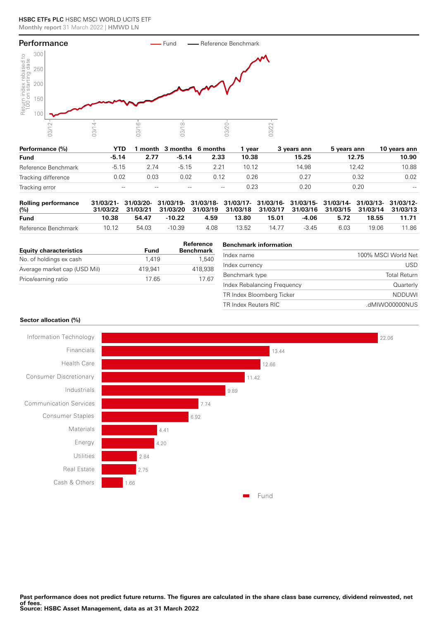

| Performance (%)     | YTD                 |       | month 3 months 6 months |       | vear  | 3 vears ann | 5 years ann | 10 years ann        |
|---------------------|---------------------|-------|-------------------------|-------|-------|-------------|-------------|---------------------|
| <b>Fund</b>         | $-5.14$             | 2.77  | $-5.14$                 | 2.33  | 10.38 | 15.25       | 12.75       | 10.90               |
| Reference Benchmark | $-5.15$             | 2.74  | $-5.15$                 |       | 10.12 | 14.98       | 12.42       | 10.88               |
| Tracking difference | 0.02                | 0.03  | 0.02                    | 0.12  | 0.26  | 0.27        | 0.32        | 0.02                |
| Tracking error      | $\hspace{0.05cm} -$ | $- -$ | $- -$                   | $- -$ | 0.23  | 0.20        | 0.20        | $\hspace{0.05cm} -$ |

| <b>Rolling performance</b><br>(%) |       |       | 31/03/21- 31/03/20- 31/03/19- 31/03/18- 31/03/17- 31/03/16- 31/03/15- 31/03/14- 31/03/13- 31/03/12-<br>31/03/22 31/03/21 31/03/20 31/03/19 31/03/18 31/03/17 31/03/16 31/03/15 31/03/14 31/03/13 |      |       |       |        |      |       |       |
|-----------------------------------|-------|-------|--------------------------------------------------------------------------------------------------------------------------------------------------------------------------------------------------|------|-------|-------|--------|------|-------|-------|
| <b>Fund</b>                       | 10.38 | 54.47 | $-10.22$                                                                                                                                                                                         | 4.59 | 13.80 | 15.01 | -4.06  | 5.72 | 18.55 | 11.71 |
| Reference Benchmark               | 10.12 | 54.03 | -10.39                                                                                                                                                                                           | 4.08 | 13.52 | 14 77 | $-345$ | 6.03 | 19.06 | 11.86 |

| <b>Equity characteristics</b> | Fund    | Reference<br><b>Benchmark</b> |
|-------------------------------|---------|-------------------------------|
| No. of holdings ex cash       | 1.419   | 1.540                         |
| Average market cap (USD Mil)  | 419.941 | 418.938                       |
| Price/earning ratio           | 1765    | 1767                          |

## **Benchmark information**

| Index name                  | 100% MSCI World Net |
|-----------------------------|---------------------|
| Index currency              | USD.                |
| Benchmark type              | <b>Total Return</b> |
| Index Rebalancing Frequency | Quarterly           |
| TR Index Bloomberg Ticker   | <b>NDDUWI</b>       |
| TR Index Reuters RIC        | .dMIWO00000NUS      |
|                             |                     |

#### **Sector allocation (%)**

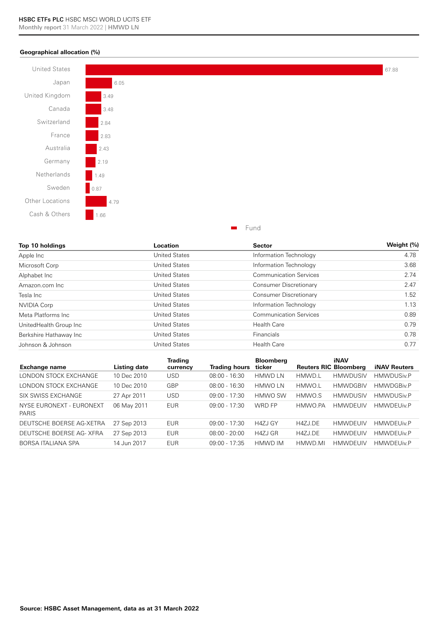### **Geographical allocation (%)**



| Top 10 holdings        | Location             | <b>Sector</b>                 | Weight (%) |
|------------------------|----------------------|-------------------------------|------------|
| Apple Inc              | <b>United States</b> | Information Technology        | 4.78       |
| Microsoft Corp         | <b>United States</b> | Information Technology        | 3.68       |
| Alphabet Inc           | <b>United States</b> | <b>Communication Services</b> | 2.74       |
| Amazon.com Inc.        | <b>United States</b> | Consumer Discretionary        | 2.47       |
| Tesla Inc              | <b>United States</b> | Consumer Discretionary        | 1.52       |
| <b>NVIDIA Corp</b>     | <b>United States</b> | Information Technology        | 1.13       |
| Meta Platforms Inc.    | <b>United States</b> | <b>Communication Services</b> | 0.89       |
| UnitedHealth Group Inc | <b>United States</b> | <b>Health Care</b>            | 0.79       |
| Berkshire Hathaway Inc | <b>United States</b> | <b>Financials</b>             | 0.78       |
| Johnson & Johnson      | <b>United States</b> | <b>Health Care</b>            | 0.77       |

| <b>Exchange name</b>                     | Listing date | <b>Trading</b><br>currency | <b>Trading hours</b> | <b>Bloomberg</b><br>ticker | <b>Reuters RIC Bloomberg</b> | <b>iNAV</b>     | <b>iNAV Reuters</b> |
|------------------------------------------|--------------|----------------------------|----------------------|----------------------------|------------------------------|-----------------|---------------------|
| LONDON STOCK EXCHANGE                    | 10 Dec 2010  | USD                        | $08:00 - 16:30$      | <b>HMWD LN</b>             | HMWD.L                       | <b>HMWDUSIV</b> | <b>HMWDUSiv.P</b>   |
| LONDON STOCK EXCHANGE                    | 10 Dec 2010  | GBP                        | $08:00 - 16:30$      | <b>HMWO LN</b>             | HMWO.L                       | <b>HMWDGBIV</b> | <b>HMWDGBiv.P</b>   |
| SIX SWISS EXCHANGE                       | 27 Apr 2011  | <b>USD</b>                 | $09:00 - 17:30$      | HMWO SW                    | HMWO.S                       | <b>HMWDUSIV</b> | <b>HMWDUSiv.P</b>   |
| NYSE EURONEXT - EURONEXT<br><b>PARIS</b> | 06 May 2011  | <b>EUR</b>                 | $09:00 - 17:30$      | WRD FP                     | HMWO.PA                      | <b>HMWDFUIV</b> | <b>HMWDEUiv.P</b>   |
| DEUTSCHE BOERSE AG-XETRA                 | 27 Sep 2013  | EUR                        | $09:00 - 17:30$      | H4ZJ GY                    | H4ZJ.DE                      | <b>HMWDEUIV</b> | <b>HMWDEUiv.P</b>   |
| DEUTSCHE BOERSE AG-XFRA                  | 27 Sep 2013  | <b>EUR</b>                 | $08:00 - 20:00$      | H4ZJ GR                    | H4ZJ.DE                      | <b>HMWDEUIV</b> | HMWDEUiv.P          |
| BORSA ITALIANA SPA                       | 14 Jun 2017  | <b>EUR</b>                 | $09:00 - 17:35$      | HMWD IM                    | HMWD.MI                      | <b>HMWDEUIV</b> | <b>HMWDEUiv.P</b>   |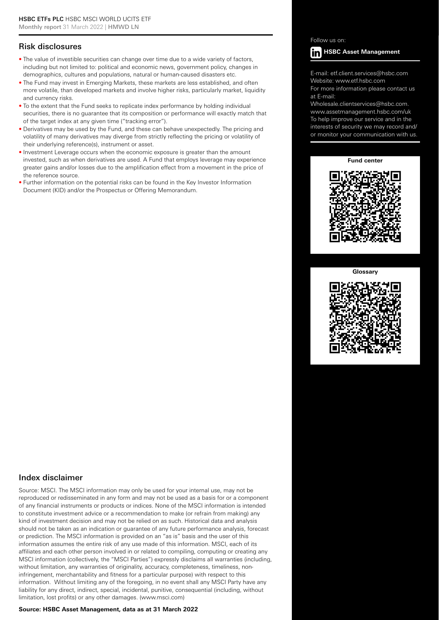## Risk disclosures

- The value of investible securities can change over time due to a wide variety of factors, including but not limited to: political and economic news, government policy, changes in demographics, cultures and populations, natural or human-caused disasters etc.
- The Fund may invest in Emerging Markets, these markets are less established, and often more volatile, than developed markets and involve higher risks, particularly market, liquidity and currency risks.
- To the extent that the Fund seeks to replicate index performance by holding individual securities, there is no guarantee that its composition or performance will exactly match that of the target index at any given time ("tracking error").
- Derivatives may be used by the Fund, and these can behave unexpectedly. The pricing and volatility of many derivatives may diverge from strictly reflecting the pricing or volatility of their underlying reference(s), instrument or asset.
- Investment Leverage occurs when the economic exposure is greater than the amount invested, such as when derivatives are used. A Fund that employs leverage may experience greater gains and/or losses due to the amplification effect from a movement in the price of the reference source.
- Further information on the potential risks can be found in the Key Investor Information Document (KID) and/or the Prospectus or Offering Memorandum.

### Follow us on:



E-mail: etf.client.services@hsbc.com Website: www.etf.hsbc.com

For more information please contact us at E-mail:

Wholesale.clientservices@hsbc.com. www.assetmanagement.hsbc.com/uk To help improve our service and in the interests of security we may record and/ or monitor your communication with us.

#### **Fund center**



#### **Glossary**



## Index disclaimer

Source: MSCI. The MSCI information may only be used for your internal use, may not be reproduced or redisseminated in any form and may not be used as a basis for or a component of any financial instruments or products or indices. None of the MSCI information is intended to constitute investment advice or a recommendation to make (or refrain from making) any kind of investment decision and may not be relied on as such. Historical data and analysis should not be taken as an indication or guarantee of any future performance analysis, forecast or prediction. The MSCI information is provided on an "as is" basis and the user of this information assumes the entire risk of any use made of this information. MSCI, each of its affiliates and each other person involved in or related to compiling, computing or creating any MSCI information (collectively, the "MSCI Parties") expressly disclaims all warranties (including, without limitation, any warranties of originality, accuracy, completeness, timeliness, noninfringement, merchantability and fitness for a particular purpose) with respect to this information. Without limiting any of the foregoing, in no event shall any MSCI Party have any liability for any direct, indirect, special, incidental, punitive, consequential (including, without limitation, lost profits) or any other damages. (www.msci.com)

#### **Source: HSBC Asset Management, data as at 31 March 2022**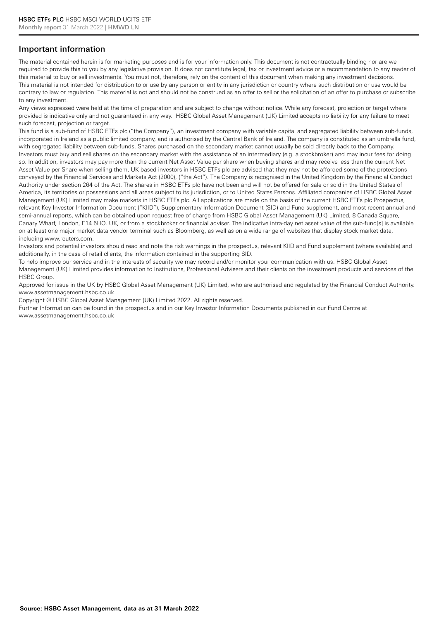## Important information

The material contained herein is for marketing purposes and is for your information only. This document is not contractually binding nor are we required to provide this to you by any legislative provision. It does not constitute legal, tax or investment advice or a recommendation to any reader of this material to buy or sell investments. You must not, therefore, rely on the content of this document when making any investment decisions. This material is not intended for distribution to or use by any person or entity in any jurisdiction or country where such distribution or use would be contrary to law or regulation. This material is not and should not be construed as an offer to sell or the solicitation of an offer to purchase or subscribe to any investment.

Any views expressed were held at the time of preparation and are subject to change without notice. While any forecast, projection or target where provided is indicative only and not guaranteed in any way. HSBC Global Asset Management (UK) Limited accepts no liability for any failure to meet such forecast, projection or target.

This fund is a sub-fund of HSBC ETFs plc ("the Company"), an investment company with variable capital and segregated liability between sub-funds, incorporated in Ireland as a public limited company, and is authorised by the Central Bank of Ireland. The company is constituted as an umbrella fund, with segregated liability between sub-funds. Shares purchased on the secondary market cannot usually be sold directly back to the Company. Investors must buy and sell shares on the secondary market with the assistance of an intermediary (e.g. a stockbroker) and may incur fees for doing so. In addition, investors may pay more than the current Net Asset Value per share when buying shares and may receive less than the current Net Asset Value per Share when selling them. UK based investors in HSBC ETFs plc are advised that they may not be afforded some of the protections conveyed by the Financial Services and Markets Act (2000), ("the Act"). The Company is recognised in the United Kingdom by the Financial Conduct Authority under section 264 of the Act. The shares in HSBC ETFs plc have not been and will not be offered for sale or sold in the United States of America, its territories or possessions and all areas subject to its jurisdiction, or to United States Persons. Affiliated companies of HSBC Global Asset Management (UK) Limited may make markets in HSBC ETFs plc. All applications are made on the basis of the current HSBC ETFs plc Prospectus, relevant Key Investor Information Document ("KIID"), Supplementary Information Document (SID) and Fund supplement, and most recent annual and semi-annual reports, which can be obtained upon request free of charge from HSBC Global Asset Management (UK) Limited, 8 Canada Square, Canary Wharf, London, E14 5HQ. UK, or from a stockbroker or financial adviser. The indicative intra-day net asset value of the sub-fund[s] is available on at least one major market data vendor terminal such as Bloomberg, as well as on a wide range of websites that display stock market data, including www.reuters.com.

Investors and potential investors should read and note the risk warnings in the prospectus, relevant KIID and Fund supplement (where available) and additionally, in the case of retail clients, the information contained in the supporting SID.

To help improve our service and in the interests of security we may record and/or monitor your communication with us. HSBC Global Asset Management (UK) Limited provides information to Institutions, Professional Advisers and their clients on the investment products and services of the HSBC Group.

Approved for issue in the UK by HSBC Global Asset Management (UK) Limited, who are authorised and regulated by the Financial Conduct Authority. www.assetmanagement.hsbc.co.uk

Copyright © HSBC Global Asset Management (UK) Limited 2022. All rights reserved.

Further Information can be found in the prospectus and in our Key Investor Information Documents published in our Fund Centre at www.assetmanagement.hsbc.co.uk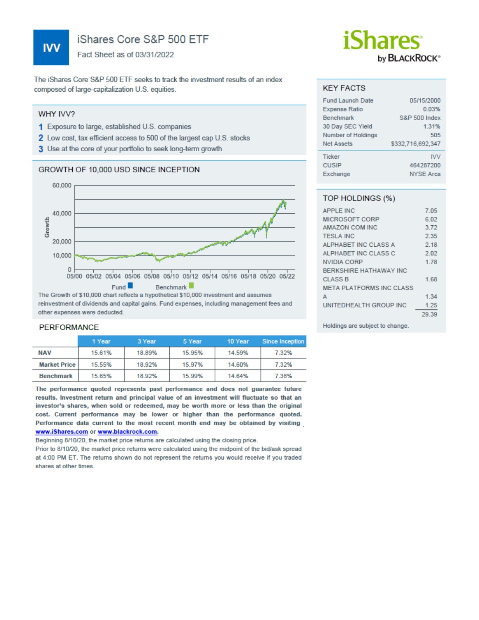## iShares Core S&P 500 ETF

Fact Sheet as of 03/31/2022

The iShares Core S&P 500 ETF seeks to track the investment results of an index composed of large-capitalization U.S. equities.

#### WHY IVV?

- 1 Exposure to large, established U.S. companies
- 2 Low cost, tax efficient access to 500 of the largest cap U.S. stocks
- 3 Use at the core of your portfolio to seek long-term growth

#### GROWTH OF 10,000 USD SINCE INCEPTION



reinvestment of dividends and capital gains. Fund expenses, including management fees and other expenses were deducted.

### **PERFORMANCE**

|                     | 1 Year | 3 Year | 5 Year | 10 Year | Since Inception |
|---------------------|--------|--------|--------|---------|-----------------|
| <b>NAV</b>          | 15.61% | 18.89% | 15.95% | 14.59%  | 7.32%           |
| <b>Market Price</b> | 15.55% | 18.92% | 15.97% | 14.60%  | 7.32%           |
| <b>Benchmark</b>    | 15.65% | 18.92% | 15.99% | 14.64%  | 7.38%           |
|                     |        |        |        |         |                 |

The performance quoted represents past performance and does not guarantee future results. Investment return and principal value of an investment will fluctuate so that an investor's shares, when sold or redeemed, may be worth more or less than the original cost. Current performance may be lower or higher than the performance quoted. Performance data current to the most recent month end may be obtained by visiting www.iShares.com or www.blackrock.com.

Beginning 8/10/20, the market price returns are calculated using the closing price.

Prior to 8/10/20, the market price returns were calculated using the midpoint of the bid/ask spread at 4:00 PM ET. The returns shown do not represent the returns you would receive if you traded shares at other times.

## *iShares* by **BLACKROCK**<sup>®</sup>

#### **KEY FACTS**

| <b>Fund Launch Date</b> | 05/15/2000               |
|-------------------------|--------------------------|
| <b>Expense Ratio</b>    | 0.03%                    |
| <b>Benchmark</b>        | <b>S&amp;P 500 Index</b> |
| 30 Day SEC Yield        | 1.31%                    |
| Number of Holdings      | 505                      |
| Net Assets              | \$332,716,692,347        |
| <b>Ticker</b>           | <b>IVV</b>               |
| <b>CUSIP</b>            | 464287200                |
| Exchange                | <b>NYSE Arca</b>         |

### TOP HOLDINGS (%)

| <b>APPLE INC</b>                | 7.05  |
|---------------------------------|-------|
| <b>MICROSOFT CORP</b>           | 6.02  |
| AMAZON COM INC                  | 3.72  |
| <b>TESLA INC</b>                | 2.35  |
| ALPHABET INC CLASS A            | 2.18  |
| ALPHABET INC CLASS C            | 2.02  |
| <b>NVIDIA CORP</b>              | 1.78  |
| <b>BERKSHIRE HATHAWAY INC</b>   |       |
| <b>CLASS B</b>                  | 1.68  |
| <b>META PLATFORMS INC CLASS</b> |       |
| А                               | 1.34  |
| UNITEDHEALTH GROUP INC          | 1.25  |
|                                 | 29.39 |

Holdings are subject to change.

**IVV**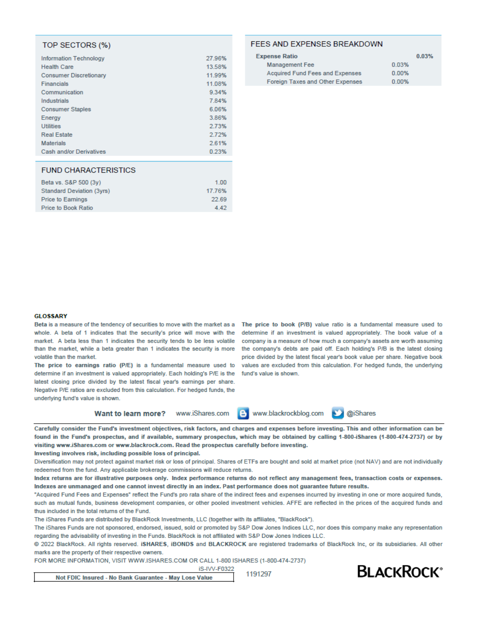#### TOP SECTORS (%)

| <b>Information Technology</b> | 27.96% |
|-------------------------------|--------|
| <b>Health Care</b>            | 13.58% |
| <b>Consumer Discretionary</b> | 11.99% |
| Financials                    | 11.08% |
| Communication                 | 9.34%  |
| Industrials                   | 7.84%  |
| <b>Consumer Staples</b>       | 6.06%  |
| Energy                        | 3.86%  |
| <b>Utilities</b>              | 2.73%  |
| <b>Real Estate</b>            | 2.72%  |
| <b>Materials</b>              | 2.61%  |
| Cash and/or Derivatives       | 0.23%  |
|                               |        |

#### **FUND CHARACTERISTICS**

| 1.00   |
|--------|
| 17.76% |
| 22.69  |
| 4.42   |
|        |

#### **FEES AND EXPENSES BREAKDOWN**

| <b>Expense Ratio</b>                   | 0.03% |
|----------------------------------------|-------|
| Management Fee                         | 0.03% |
| <b>Acquired Fund Fees and Expenses</b> | 0.00% |
| Foreign Taxes and Other Expenses       | 0.00% |

#### **GLOSSARY**

Beta is a measure of the tendency of securities to move with the market as a The price to book (P/B) value ratio is a fundamental measure used to whole. A beta of 1 indicates that the security's price will move with the market. A beta less than 1 indicates the security tends to be less volatile than the market, while a beta greater than 1 indicates the security is more volatile than the market.

determine if an investment is valued appropriately. Each holding's P/E is the fund's value is shown. latest closing price divided by the latest fiscal year's earnings per share. Negative P/E ratios are excluded from this calculation. For hedged funds, the underlying fund's value is shown.

determine if an investment is valued appropriately. The book value of a company is a measure of how much a company's assets are worth assuming the company's debts are paid off. Each holding's P/B is the latest closing price divided by the latest fiscal year's book value per share. Negative book The price to earnings ratio (P/E) is a fundamental measure used to values are excluded from this calculation. For hedged funds, the underlying

**Want to learn more?** 

www.iShares.com e. www.blackrockblog.com

@iShares

Carefully consider the Fund's investment objectives, risk factors, and charges and expenses before investing. This and other information can be found in the Fund's prospectus, and if available, summary prospectus, which may be obtained by calling 1-800-iShares (1-800-474-2737) or by visiting www.iShares.com or www.blackrock.com. Read the prospectus carefully before investing.

Investing involves risk, including possible loss of principal.

Diversification may not protect against market risk or loss of principal. Shares of ETFs are bought and sold at market price (not NAV) and are not individually redeemed from the fund. Any applicable brokerage commissions will reduce returns.

Index returns are for illustrative purposes only. Index performance returns do not reflect any management fees, transaction costs or expenses. Indexes are unmanaged and one cannot invest directly in an index. Past performance does not guarantee future results.

"Acquired Fund Fees and Expenses" reflect the Fund's pro rata share of the indirect fees and expenses incurred by investing in one or more acquired funds, such as mutual funds, business development companies, or other pooled investment vehicles. AFFE are reflected in the prices of the acquired funds and thus included in the total returns of the Fund.

The iShares Funds are distributed by BlackRock Investments, LLC (together with its affiliates, "BlackRock").

The iShares Funds are not sponsored, endorsed, issued, sold or promoted by S&P Dow Jones Indices LLC, nor does this company make any representation regarding the advisability of investing in the Funds. BlackRock is not affiliated with S&P Dow Jones Indices LLC.

@ 2022 BlackRock. All rights reserved. iSHARES, iBONDS and BLACKROCK are registered trademarks of BlackRock Inc, or its subsidiaries. All other marks are the property of their respective owners.

iS-IVV-F0322

FOR MORE INFORMATION, VISIT WWW.ISHARES.COM OR CALL 1-800 ISHARES (1-800-474-2737)

Not FDIC Insured - No Bank Guarantee - May Lose Value

1191297